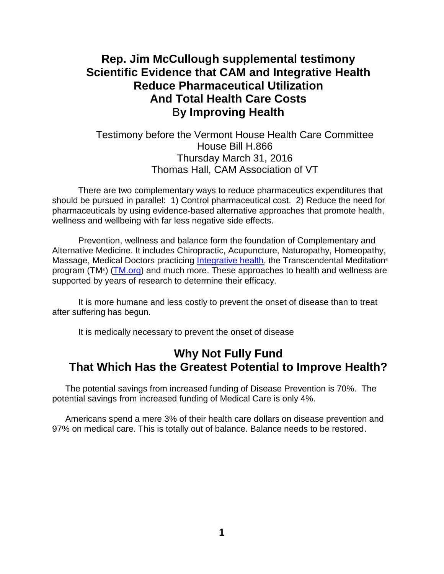# **Rep. Jim McCullough supplemental testimony Scientific Evidence that CAM and Integrative Health Reduce Pharmaceutical Utilization And Total Health Care Costs** B**y Improving Health**

### Testimony before the Vermont House Health Care Committee House Bill H.866 Thursday March 31, 2016 Thomas Hall, CAM Association of VT

There are two complementary ways to reduce pharmaceutics expenditures that should be pursued in parallel: 1) Control pharmaceutical cost. 2) Reduce the need for pharmaceuticals by using evidence-based alternative approaches that promote health, wellness and wellbeing with far less negative side effects.

Prevention, wellness and balance form the foundation of Complementary and Alternative Medicine. It includes Chiropractic, Acupuncture, Naturopathy, Homeopathy, Massage, Medical Doctors practicing [Integrative health,](https://www.uvm.edu/medicine/pih/) the Transcendental Meditation<sup>®</sup> program (TM®) [\(TM.org\)](http://www.tm.org/) and much more. These approaches to health and wellness are supported by years of research to determine their efficacy.

It is more humane and less costly to prevent the onset of disease than to treat after suffering has begun.

It is medically necessary to prevent the onset of disease

## **Why Not Fully Fund That Which Has the Greatest Potential to Improve Health?**

The potential savings from increased funding of Disease Prevention is 70%. The potential savings from increased funding of Medical Care is only 4%.

Americans spend a mere 3% of their health care dollars on disease prevention and 97% on medical care. This is totally out of balance. Balance needs to be restored.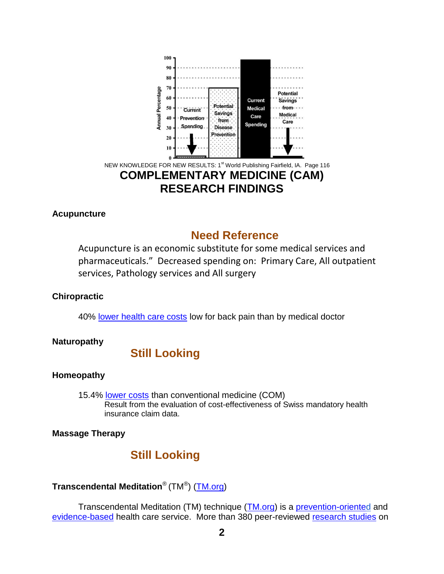

### **Acupuncture**

## **Need Reference**

Acupuncture is an economic substitute for some medical services and pharmaceuticals." Decreased spending on: Primary Care, All outpatient services, Pathology services and All surgery

### **Chiropractic**

40% [lower health care costs](http://www.chiro.org/LINKS/ABSTRACTS/Cost_of_Care_for_Common_Back_Pain.shtml) low for back pain than by medical doctor

### **Naturopathy**

## **Still Looking**

### **Homeopathy**

15.4% [lower costs](http://www.karger.com/Article/Abstract/334797) than conventional medicine (COM) Result from the evaluation of cost-effectiveness of Swiss mandatory health insurance claim data.

**Massage Therapy**

# **Still Looking**

### **Transcendental Meditation**® (TM® ) [\(TM.org\)](http://www.tm.org/)

Transcendental Meditation (TM) technique [\(TM.org\)](http://www.tm.org/) is a [prevention-oriented](http://www.ihpc.org/what-we-do/why-is-public-policy-the-solution/) an[d](https://nccih.nih.gov/about/plans/2011/introduction.htm) [evidence-based](https://nccih.nih.gov/about/plans/2011/introduction.htm) health care service. More than 380 peer-reviewed [research studies](http://www.tm.org/research-on-meditation) on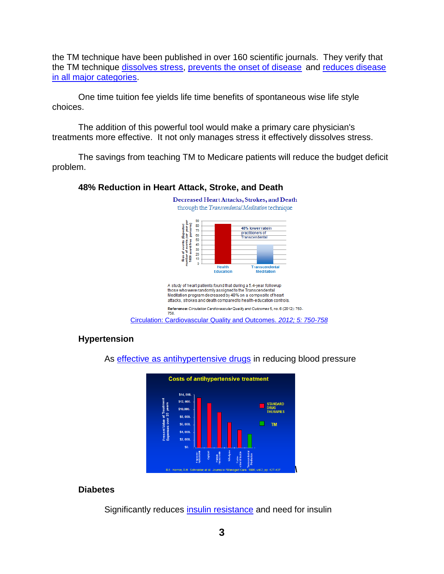the TM technique have been published in over 160 scientific journals. They verify that the TM technique [dissolves stress,](http://www.tm.org/reduced-stress-and-anxiety) [prevents the onset of disease](http://www.tm.org/blog/maharishi/transcendental-meditation-rx-for-good-health/) and [reduces disease](http://www.tm.org/research-on-meditation)  [in all major categories.](http://www.tm.org/research-on-meditation)

One time tuition fee yields life time benefits of spontaneous wise life style choices.

The addition of this powerful tool would make a primary care physician's treatments more effective. It not only manages stress it effectively dissolves stress.

The savings from teaching TM to Medicare patients will reduce the budget deficit problem.

#### **48% Reduction in Heart Attack, Stroke, and Death**



[Circulation: Cardiovascular Quality and Outcomes.](http://circoutcomes.ahajournals.org/content/5/6/750.full.html?ijkey=QPXb9AXO7LBwSjG&keytype=ref) *[2012; 5: 750-758](http://circoutcomes.ahajournals.org/content/5/6/750.full.html?ijkey=QPXb9AXO7LBwSjG&keytype=ref)*

### **Hypertension**

As [effective as antihypertensive drugs](http://portals.mum.edu/inmp-research) in reducing blood pressure



#### **Diabetes**

Significantly reduces [insulin resistance](http://archinte.jamanetwork.com/article.aspx?articleid=410453) and need for insulin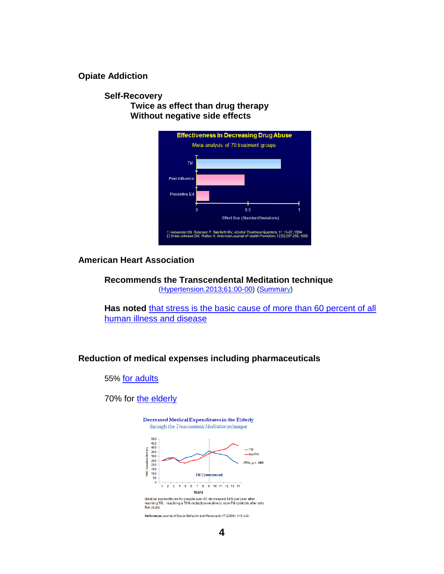**Opiate Addiction** 

**Self-Recovery Twice as effect than drug therapy Without negative side effects**



**American Heart Association**

**Recommends the Transcendental Meditation technique** [\(Hypertension.2013;61:00-00\)](http://hyper.ahajournals.org/content/early/2013/04/22/HYP.0b013e318293645f.full.pdf) [\(Summary\)](http://www.tm.org/american-heart-association)

Has noted that stress is the basic cause of more than 60 percent of all [human illness and disease](http://www.huffingtonpost.com/heartmath-llc/how-stress-affects-the-body_b_2422522.html)

#### **Reduction of medical expenses including pharmaceuticals**

55% [for adults](http://www.alkalizeforhealth.net/Ltmhealth4.htm)

70% for [the elderly](http://sante-conscience.fr/medias/Herron-frais-ages-2005.pdf)



Decreased Medical Expenditures in the Elderly

Medical expenditures for people over 65 decreased 14% per year after<br>learning TM, reaching a 70% reduction relative to non-TM controls after only<br>five years.

Reference: Journal of Social Behavior and Personality 17 (2005): 415-442.